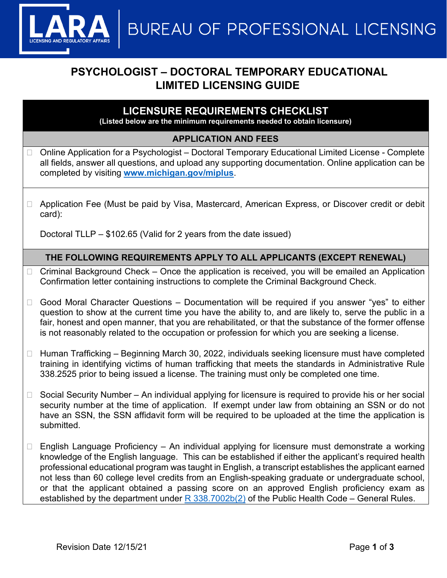**BUREAU OF PROFESSIONAL LICENSING** 

# **PSYCHOLOGIST – DOCTORAL TEMPORARY EDUCATIONAL LIMITED LICENSING GUIDE**

## **LICENSURE REQUIREMENTS CHECKLIST**

**(Listed below are the minimum requirements needed to obtain licensure)**

### **APPLICATION AND FEES**

- Online Application for a Psychologist Doctoral Temporary Educational Limited License Complete all fields, answer all questions, and upload any supporting documentation. Online application can be completed by visiting **[www.michigan.gov/miplus](http://www.michigan.gov/miplus)**.
- □ Application Fee (Must be paid by Visa, Mastercard, American Express, or Discover credit or debit card):

Doctoral TLLP – \$102.65 (Valid for 2 years from the date issued)

## **THE FOLLOWING REQUIREMENTS APPLY TO ALL APPLICANTS (EXCEPT RENEWAL)**

- $\Box$  Criminal Background Check Once the application is received, you will be emailed an Application Confirmation letter containing instructions to complete the Criminal Background Check.
- Good Moral Character Questions Documentation will be required if you answer "yes" to either question to show at the current time you have the ability to, and are likely to, serve the public in a fair, honest and open manner, that you are rehabilitated, or that the substance of the former offense is not reasonably related to the occupation or profession for which you are seeking a license.
- $\Box$  Human Trafficking Beginning March 30, 2022, individuals seeking licensure must have completed training in identifying victims of human trafficking that meets the standards in Administrative Rule 338.2525 prior to being issued a license. The training must only be completed one time.
- $\Box$  Social Security Number An individual applying for licensure is required to provide his or her social security number at the time of application. If exempt under law from obtaining an SSN or do not have an SSN, the SSN affidavit form will be required to be uploaded at the time the application is submitted.
- $\Box$  English Language Proficiency An individual applying for licensure must demonstrate a working knowledge of the English language. This can be established if either the applicant's required health professional educational program was taught in English, a transcript establishes the applicant earned not less than 60 college level credits from an English-speaking graduate or undergraduate school, or that the applicant obtained a passing score on an approved English proficiency exam as established by the department under  $R$  338.7002b(2) of the Public Health Code – General Rules.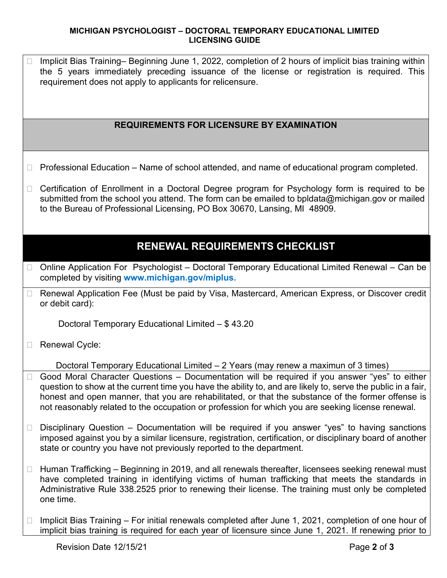### **MICHIGAN PSYCHOLOGIST – DOCTORAL TEMPORARY EDUCATIONAL LIMITED LICENSING GUIDE**

 Implicit Bias Training– Beginning June 1, 2022, completion of 2 hours of implicit bias training within the 5 years immediately preceding issuance of the license or registration is required. This requirement does not apply to applicants for relicensure.

## **REQUIREMENTS FOR LICENSURE BY EXAMINATION**

- $\Box$  Professional Education Name of school attended, and name of educational program completed.
- □ Certification of Enrollment in a Doctoral Degree program for Psychology form is required to be submitted from the school you attend. The form can be emailed to bpldata@michigan.gov or mailed to the Bureau of Professional Licensing, PO Box 30670, Lansing, MI 48909.

## **RENEWAL REQUIREMENTS CHECKLIST**

- □ Online Application For Psychologist Doctoral Temporary Educational Limited Renewal Can be completed by visiting **www.michigan.gov/miplus.**
- □ Renewal Application Fee (Must be paid by Visa, Mastercard, American Express, or Discover credit or debit card):

Doctoral Temporary Educational Limited – \$ 43.20

□ Renewal Cycle:

Doctoral Temporary Educational Limited – 2 Years (may renew a maximun of 3 times)

- □ Good Moral Character Questions Documentation will be required if you answer "yes" to either question to show at the current time you have the ability to, and are likely to, serve the public in a fair, honest and open manner, that you are rehabilitated, or that the substance of the former offense is not reasonably related to the occupation or profession for which you are seeking license renewal.
- $\Box$  Disciplinary Question Documentation will be required if you answer "yes" to having sanctions imposed against you by a similar licensure, registration, certification, or disciplinary board of another state or country you have not previously reported to the department.
- $\Box$  Human Trafficking Beginning in 2019, and all renewals thereafter, licensees seeking renewal must have completed training in identifying victims of human trafficking that meets the standards in Administrative Rule 338.2525 prior to renewing their license. The training must only be completed one time.
- $\Box$  Implicit Bias Training For initial renewals completed after June 1, 2021, completion of one hour of implicit bias training is required for each year of licensure since June 1, 2021. If renewing prior to